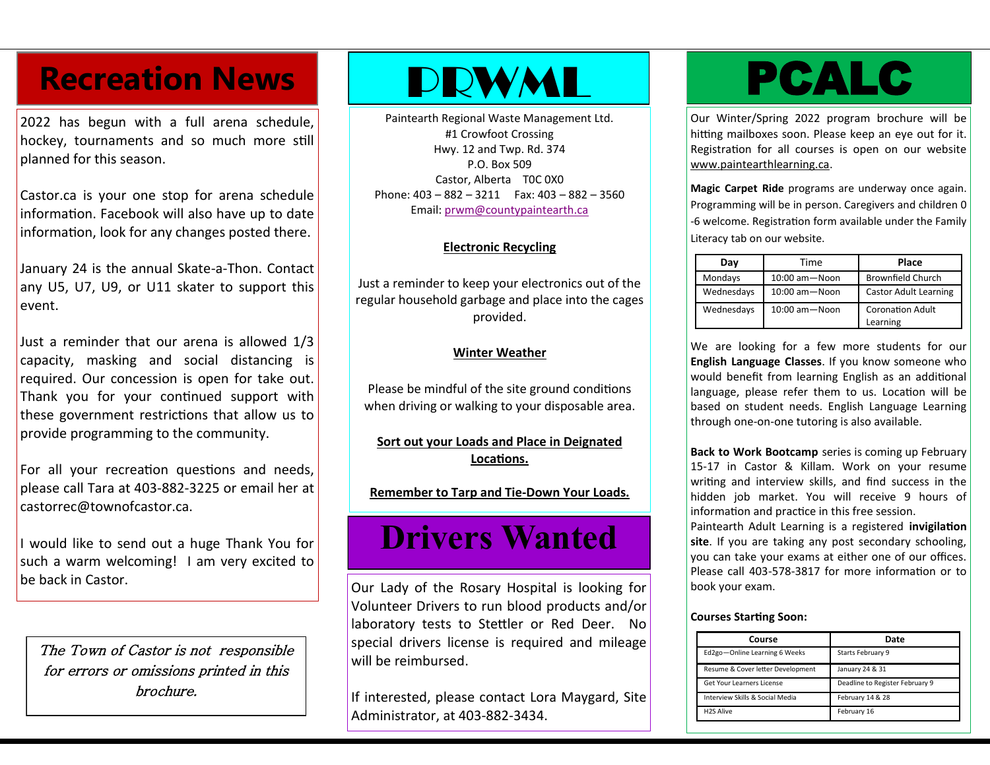## Recreation News **PRWML PCALC**

2022 has begun with a full arena schedule, hockey, tournaments and so much more still planned for this season.

Castor.ca is your one stop for arena schedule information. Facebook will also have up to date information, look for any changes posted there.

January 24 is the annual Skate-a-Thon. Contact any U5, U7, U9, or U11 skater to support this event.

Just a reminder that our arena is allowed 1/3 capacity, masking and social distancing is required. Our concession is open for take out. Thank you for your continued support with these government restrictions that allow us to provide programming to the community.

For all your recreation questions and needs, please call Tara at 403-882-3225 or email her at castorrec@townofcastor.ca.

I would like to send out a huge Thank You for such a warm welcoming! I am very excited to be back in Castor.

The Town of Castor is not responsible for errors or omissions printed in this brochure.

Paintearth Regional Waste Management Ltd. #1 Crowfoot Crossing Hwy. 12 and Twp. Rd. 374 P.O. Box 509 Castor, Alberta T0C 0X0 Phone: 403 – 882 – 3211 Fax: 403 – 882 – 3560 Email: [prwm@countypaintearth.ca](mailto:prwm@countypaintearth.ca)

## **Electronic Recycling**

Just a reminder to keep your electronics out of the regular household garbage and place into the cages provided.

## **Winter Weather**

Please be mindful of the site ground conditions when driving or walking to your disposable area.

**Sort out your Loads and Place in Deignated Locations.**

**Remember to Tarp and Tie-Down Your Loads.**

# **Drivers Wanted**

Our Lady of the Rosary Hospital is looking for Volunteer Drivers to run blood products and/or laboratory tests to Stettler or Red Deer. No special drivers license is required and mileage will be reimbursed.

If interested, please contact Lora Maygard, Site Administrator, at 403-882-3434.

Our Winter/Spring 2022 program brochure will be hitting mailboxes soon. Please keep an eye out for it. Registration for all courses is open on our website [www.paintearthlearning.ca.](http://www.paintearthlearning.ca)

**Magic Carpet Ride** programs are underway once again. Programming will be in person. Caregivers and children 0 -6 welcome. Registration form available under the Family Literacy tab on our website.

| Day        | Time                | Place                               |  |
|------------|---------------------|-------------------------------------|--|
| Mondays    | $10:00$ am $-$ Noon | <b>Brownfield Church</b>            |  |
| Wednesdays | $10:00$ am $-$ Noon | <b>Castor Adult Learning</b>        |  |
| Wednesdays | $10:00$ am $-$ Noon | <b>Coronation Adult</b><br>Learning |  |

We are looking for a few more students for our **English Language Classes**. If you know someone who would benefit from learning English as an additional language, please refer them to us. Location will be based on student needs. English Language Learning through one-on-one tutoring is also available.

**Back to Work Bootcamp** series is coming up February 15-17 in Castor & Killam. Work on your resume writing and interview skills, and find success in the hidden job market. You will receive 9 hours of information and practice in this free session.

Paintearth Adult Learning is a registered **invigilation site**. If you are taking any post secondary schooling, you can take your exams at either one of our offices. Please call 403-578-3817 for more information or to book your exam.

### **Courses Starting Soon:**

| Course                            | Date                            |
|-----------------------------------|---------------------------------|
| Ed2go-Online Learning 6 Weeks     | Starts February 9               |
| Resume & Cover letter Development | January 24 & 31                 |
| Get Your Learners License         | Deadline to Register February 9 |
| Interview Skills & Social Media   | February 14 & 28                |
| <b>H2S Alive</b>                  | February 16                     |